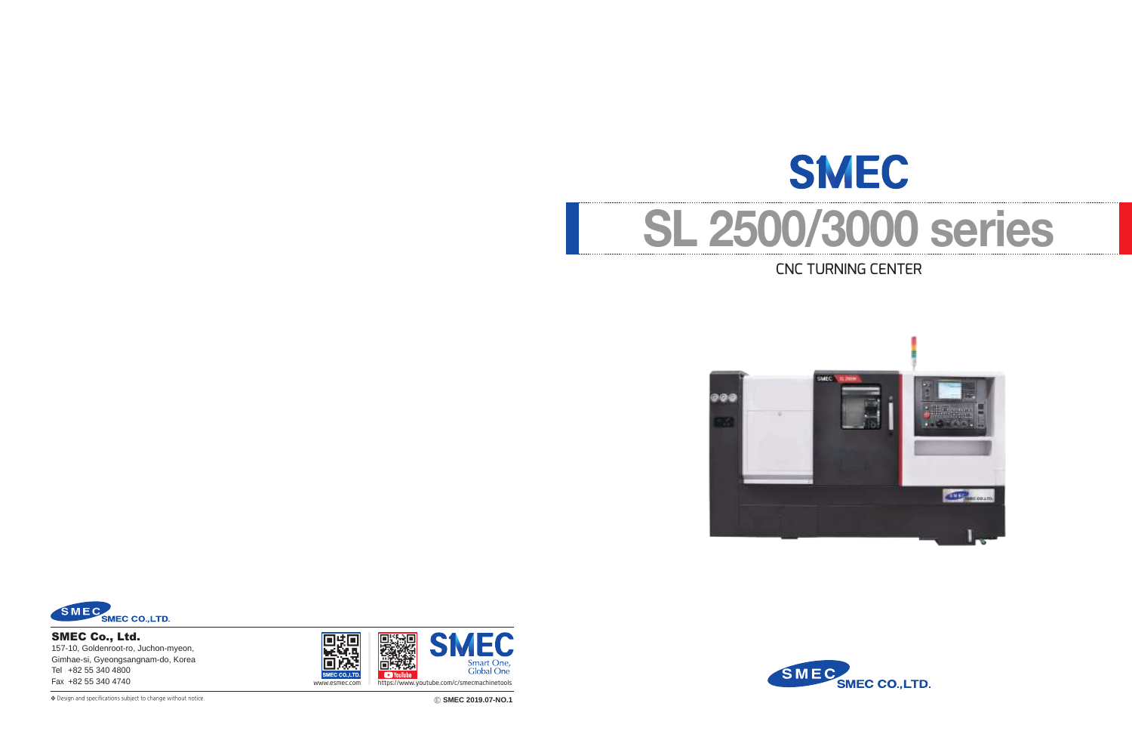# **SMEC SL 2500/3000 series** CNC TURNING CENTER





❖ Ⓔ **SMEC 2019.07-NO.1** Design and specifications subject to change without notice.

SMEC Co., Ltd. 157-10, Goldenroot-ro, Juchon-myeon, Gimhae-si, Gyeongsangnam-do, Korea Tel +82 55 340 4800



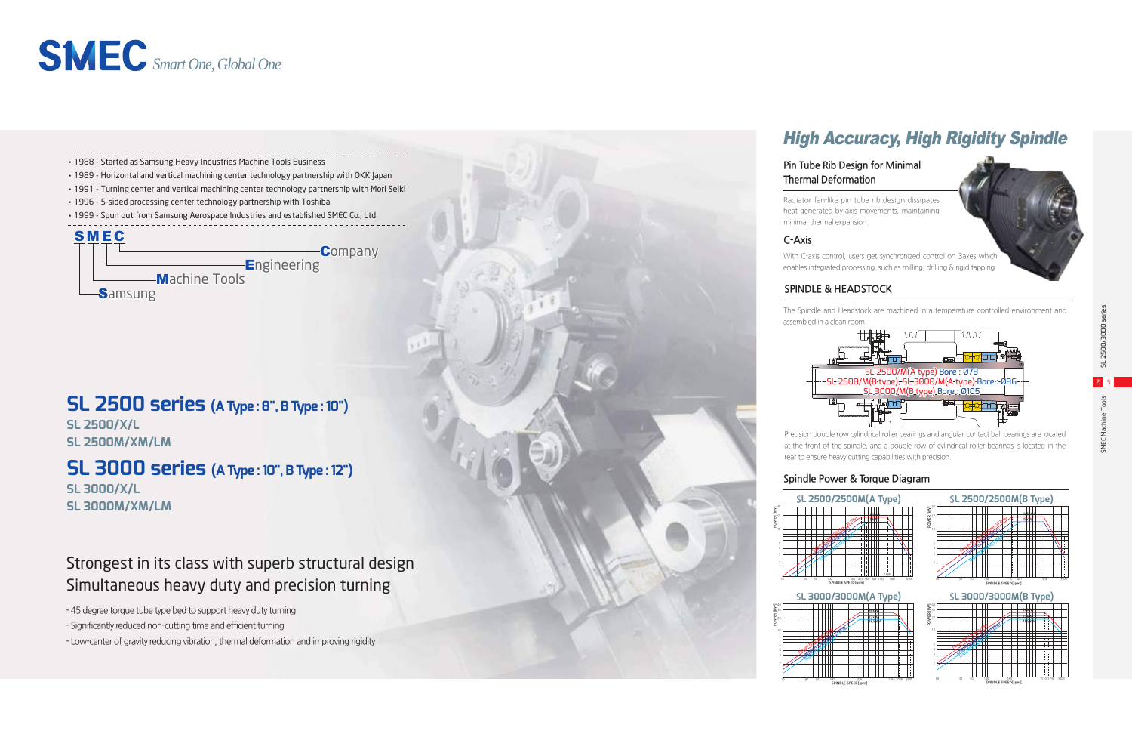- 45 degree torque tube type bed to support heavy duty turning
- Significantly reduced non-cutting time and efficient turning
- Low-center of gravity reducing vibration, thermal deformation and improving rigidity

## Strongest in its class with superb structural design Simultaneous heavy duty and precision turning



## High Accuracy, High Rigidity Spindle

The Spindle and Headstock are machined in a temperature controlled environment and

#### **SPINDLE & HEADSTOCK**

**SL 3000/X/L SL 3000M/XM/LM**

## **SL 2500 series (A Type : 8", B Type : 10")**

**SL 2500/X/L SL 2500M/XM/LM**

#### **Pin Tube Rib Design for Minimal Thermal Deformation**

Radiator fan-like pin tube rib design dissipates heat generated by axis movements, maintaining

With C-axis control, users get synchronized control on 3axes which enables integrated processing, such as milling, drilling & rigid tapping.



Precision double row cylindrical roller bearings and angular contact ball bearings are located at the front of the spindle, and a double row of cylindrical roller bearings is located in the rear to ensure heavy cutting capabilities with precision.





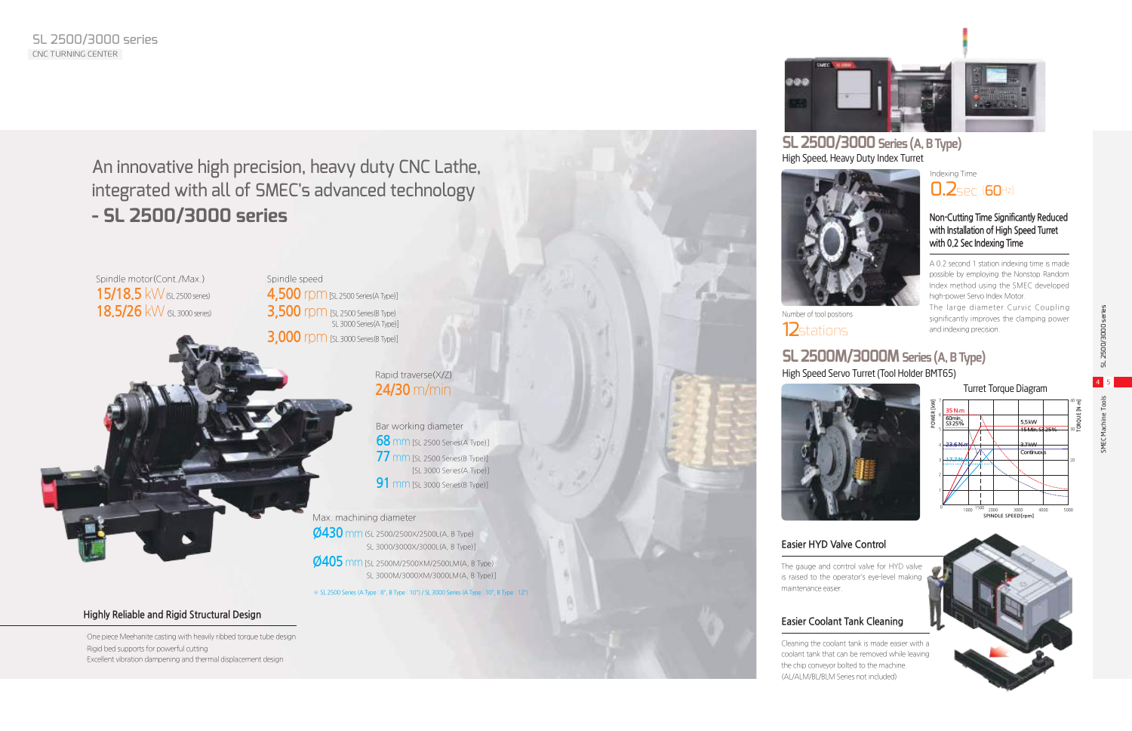SMEC Machine Tools SL 2500/3000 series 4 5



An innovative high precision, heavy duty CNC Lathe, integrated with all of SMEC's advanced technology **- SL 2500/3000 series**

## **SL 2500M/3000M Series (A, B Type)** High Speed Servo Turret (Tool Holder BMT65)

### **SL 2500/3000 Series (A, B Type)** High Speed, Heavy Duty Index Turret



## **Easier HYD Valve Control**

The gauge and control valve for HYD valve is raised to the operator's eye-level making maintenance easier.





Spindle motor(Cont./Max.) **15/18.5** kW (SL 2500 series) **18.5/26** kW (SL 3000 series)

#### **Non-Cutting Time Significantly Reduced with Installation of High Speed Turret with 0.2 Sec Indexing Time**

Bar working diameter **68** mm [SL 2500 Series(A Type)] **77** mm [SL 2500 Series(B Type)] [SL 3000 Series(A Type)] **91** mm [SL 3000 Series(B Type)]

Spindle speed **4,500** rpm [SL 2500 Series(A Type)] **3,500** rpm [SL 2500 Series(B Type) SL 3000 Series(A Type)] **3,000** rpm [SL 3000 Series(B Type)] A 0.2 second 1 station indexing time is made possible by employing the Nonstop Random Index method using the SMEC developed high-power Servo Index Motor.

The large diameter Curvic Coupling significantly improves the clamping power and indexing precision.



Indexing Time **0.2**sec (60Hz)

 ·One piece Meehanite casting with heavily ribbed torque tube design ·Rigid bed supports for powerful cutting ·Excellent vibration dampening and thermal displacement design



#### Rapid traverse(X/Z) **24/30** m/min

## Turret Torque Diagram

Max. machining diameter **Ø430** mm(SL 2500/2500X/2500L(A, B Type) SL 3000/3000X/3000L(A, B Type)] **Ø405** mm [SL 2500M/2500XM/2500LM(A, B Type) SL 3000M/3000XM/3000LM(A, B Type)]

### **Easier Coolant Tank Cleaning**

Cleaning the coolant tank is made easier with a coolant tank that can be removed while leaving the chip conveyor bolted to the machine. (AL/ALM/BL/BLM Series not included)



※ SL 2500 Series (A Type : 8", B Type : 10") / SL 3000 Series (A Type : 10", B Type : 12")

**POWER [kW]**

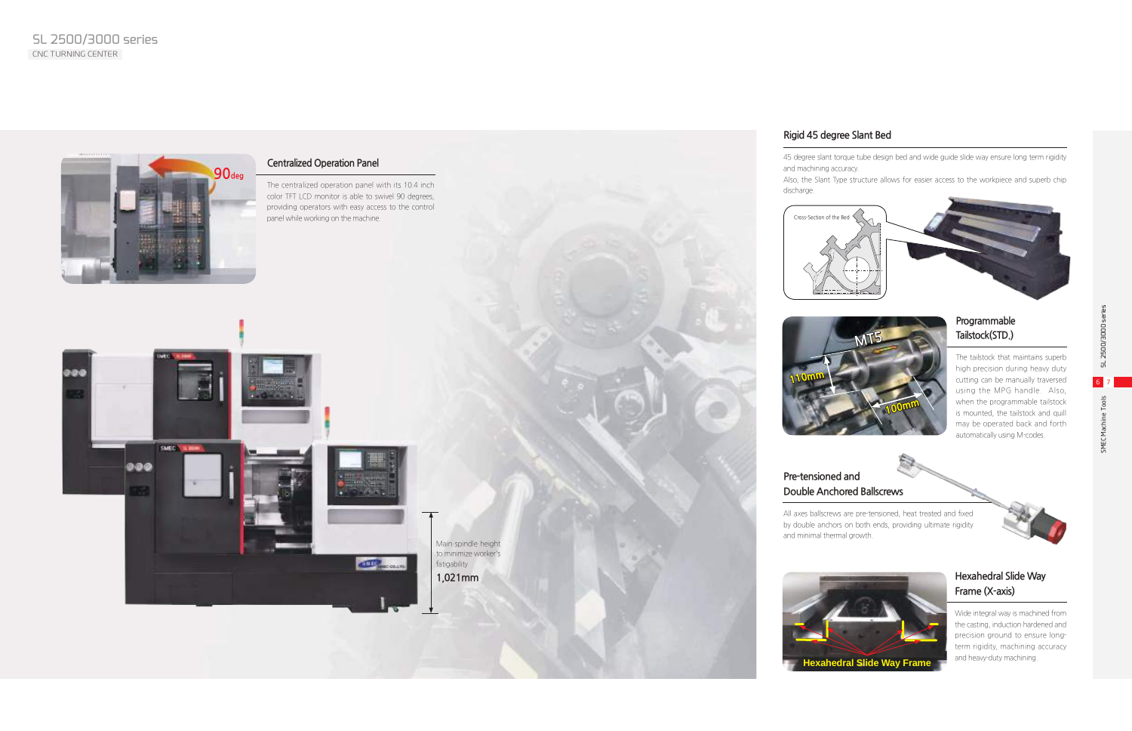#### **Programmable Tailstock(STD.)**

The tailstock that maintains superb high precision during heavy duty cutting can be manually traversed using the MPG handle. Also, when the programmable tailstock is mounted, the tailstock and quill may be operated back and forth automatically using M-codes.



#### **Rigid 45 degree Slant Bed**

45 degree slant torque tube design bed and wide guide slide way ensure long term rigidity

and machining accuracy. discharge.

Also, the Slant Type structure allows for easier access to the workpiece and superb chip

#### **Hexahedral Slide Way Frame (X-axis)**

Wide integral way is machined from the casting, induction hardened and precision ground to ensure longterm rigidity, machining accuracy and heavy-duty machining.

# **Pre-tensioned and**

**Double Anchored Ballscrews**

All axes ballscrews are pre-tensioned, heat treated and fixed by double anchors on both ends, providing ultimate rigidity



and minimal thermal growth.







#### **Centralized Operation Panel**

The centralized operation panel with its 10.4 inch color TFT LCD monitor is able to swivel 90 degrees, providing operators with easy access to the control panel while working on the machine.







Main spindle height to minimize worker's fatigability **1,021mm**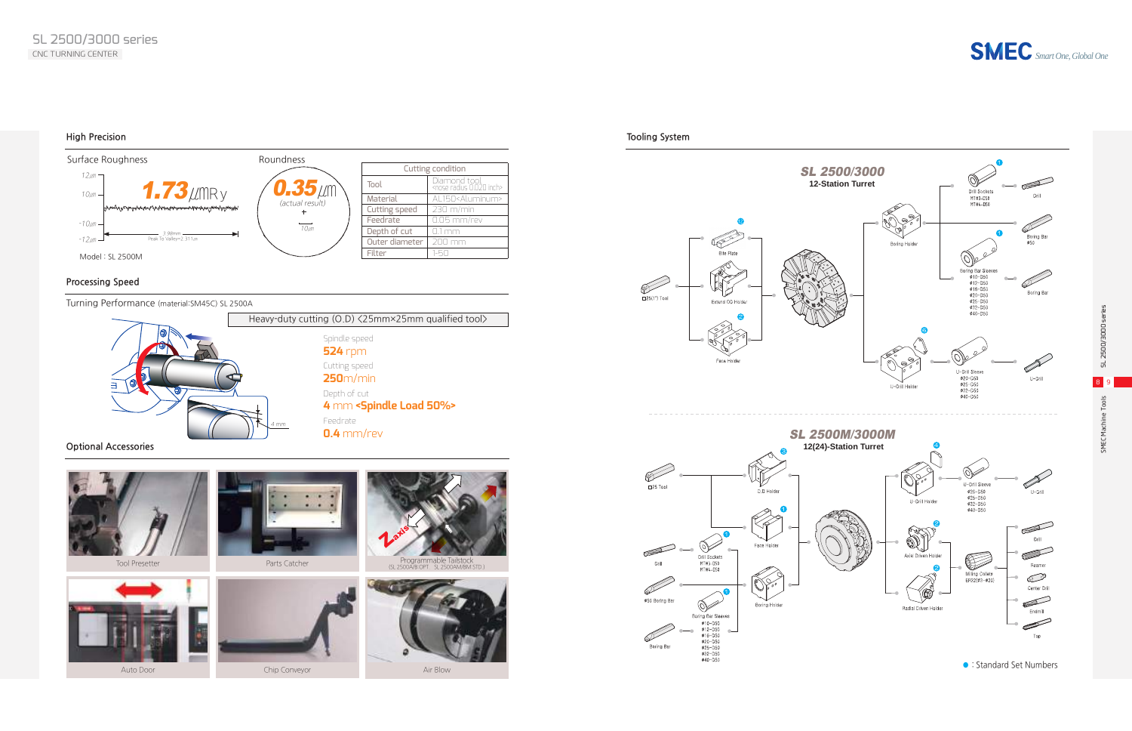SMEC Machine Tools SL 2500/3000 series 8 9

SMEC Machine Tools

SL 2500/3000 ser

**High Precision Tooling System**

**Optional Accessories**

#### **Processing Speed**

*Smart One, Global One*

Turning Performance (material:SM45C) SL 2500A







: Standard Set Numbers



 $\frac{\text{#10}}{\text{#10}-\text{D50}}$ <br>  $\frac{\text{#10}-\text{D50}}{\text{#16}-\text{D50}}$ <br>  $\frac{\text{#20}-\text{D50}}{\text{#25}-\text{D50}}$ <br>  $\frac{\text{#32}-\text{D50}}{\text{#40}-\text{D50}}$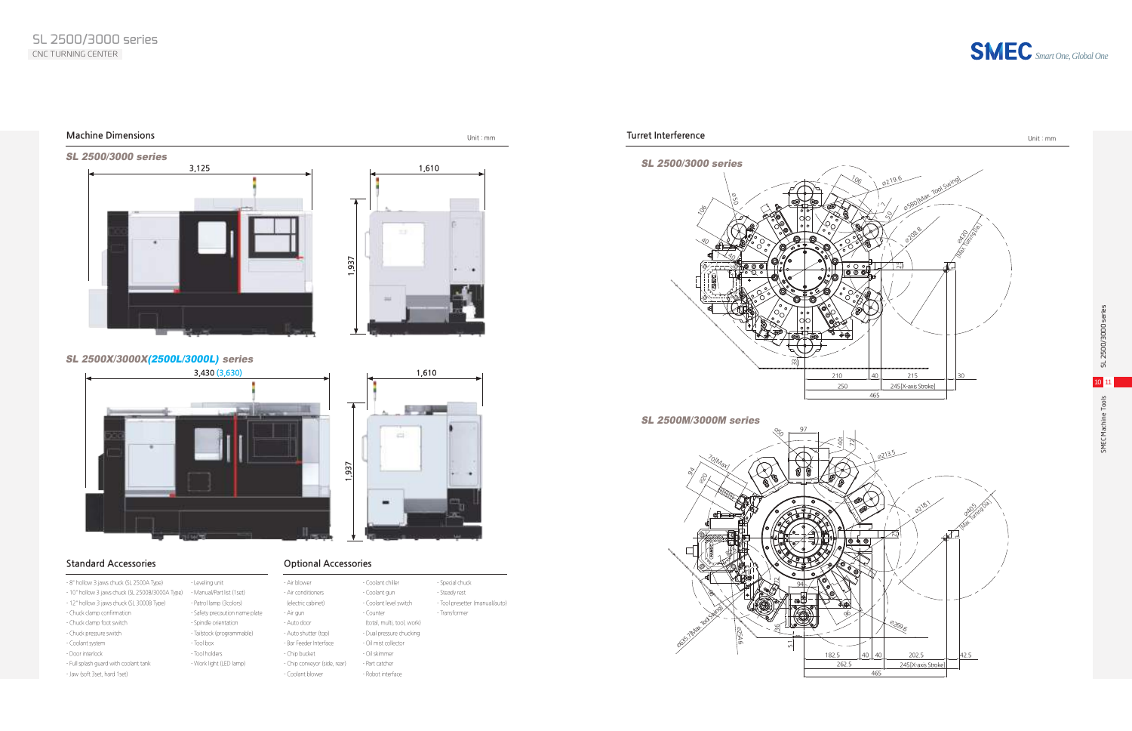

#### **Machine Dimensions** Unit : mm

# **1. 1. 1. 1.** ÷ **1,937**



#### SL 2500X/3000X(2500L/3000L) series

**1,937**







- Air blower - Air conditioners

- Chip bucket

- Chip conveyor (side, rear) - Coolant blower

- Coolant chiller - Coolant gun - Coolant level switch - Counter

 (total, multi, tool, work) - Dual pressure chucking - Oil mist collector - Oil skimmer - Part catcher - Robot interface

- 8" hollow 3 jaws chuck (SL 2500A Type)
- 10" hollow 3 jaws chuck (SL 2500B/3000A Type) Manual/Part list (1set)
- 12" hollow 3 jaws chuck (SL 3000B Type)
- Chuck clamp confirmation
- Chuck clamp foot switch
- Chuck pressure switch
- Coolant system
- Door interlock
- Full splash guard with coolant tank
- Jaw (soft 3set, hard 1set)
- Leveling unit - Patrol lamp (3colors) - Safety precaution name plate - Spindle orientation
- Tailstock (programmable) - Tool box
- Tool holders
- Work light (LED lamp)
- (electric cabinet) - Air gun - Auto door - Auto shutter (top) - Bar Feeder Interface

**Optional Accessories**

#### **Standard Accessories**

- Special chuck - Steady rest - Tool presetter (manual/auto) - Transformer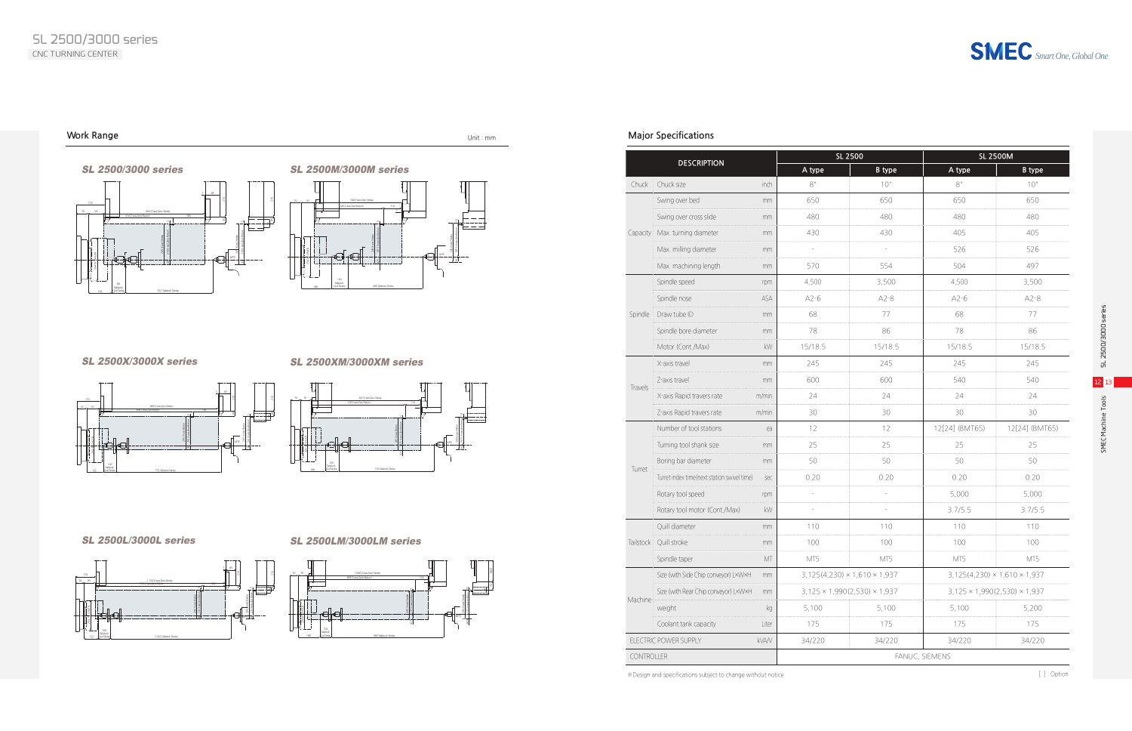*Smart One, Global One*

SMEC Machine Tools SL 2500/3000 series  $12<sub>1</sub>$ Tools SMEC Machine

#### **Major Specifications**

※Design and specifications subject to change without notice.

#### **Work Range** Unit : mm





<u>al a</u>











# SL 2500/3000 series

#### SL 2500X/3000X series

#### SL 2500L/3000L series

#### SL 2500XM/3000XM series



| <b>DESCRIPTION</b> |                                             |               | SL 2500        |                                          | <b>SL 2500M</b>                          |                                          |
|--------------------|---------------------------------------------|---------------|----------------|------------------------------------------|------------------------------------------|------------------------------------------|
|                    |                                             |               | A type         | <b>B</b> type                            | A type                                   | <b>B</b> type                            |
| Chuck              | Chuck size                                  | inch          | $8"$           | 10"                                      | 8"                                       | 10"                                      |
|                    | Swing over bed                              | mm            | 650            | 650                                      | 650                                      | 650                                      |
|                    | Swing over cross slide                      | mm            | 480            | 480                                      | 480                                      | 480                                      |
| Capacity           | Max. turning diameter                       | mm            | 430            | 430                                      | 405                                      | 405                                      |
|                    | Max. milling diameter                       | mm            | $\overline{a}$ | L,                                       | 526                                      | 526                                      |
|                    | Max. machining length                       | mm            | 570            | 554                                      | 504                                      | 497                                      |
|                    | Spindle speed                               | rpm           | 4,500          | 3,500                                    | 4,500                                    | 3,500                                    |
|                    | Spindle nose                                | ASA           | $A2-6$         | $A2-8$                                   | $A2-6$                                   | $A2-8$                                   |
| Spindle            | Draw tube ID                                | mm            | 68             | 77                                       | 68                                       | 77                                       |
|                    | Spindle bore diameter                       | mm            | 78             | 86                                       | 78                                       | 86                                       |
|                    | Motor (Cont./Max)                           | kW            | 15/18.5        | 15/18.5                                  | 15/18.5                                  | 15/18.5                                  |
|                    | X-axis travel                               | mm            | 245            | 245                                      | 245                                      | 245                                      |
|                    | Z-axis travel                               | mm            | 600            | 600                                      | 540                                      | 540                                      |
| Travels            | X-axis Rapid travers rate                   | m/min         | 24             | 24                                       | 24                                       | 24                                       |
|                    | Z-axis Rapid travers rate                   | m/min         | 30             | 30                                       | 30                                       | 30                                       |
|                    | Number of tool stations                     | ea            | 12             | 12                                       | 12[24] (BMT65)                           | 12[24] (BMT65)                           |
|                    | Turning tool shank size                     | mm            | 25             | 25                                       | 25                                       | 25                                       |
|                    | Boring bar diameter                         | mm            | 50             | 50                                       | 50                                       | 50                                       |
| Turret             | Turret index time(next station swivel time) | sec           | 0.20           | 0.20                                     | 0.20                                     | 0.20                                     |
|                    | Rotary tool speed                           | rpm           | $\overline{a}$ |                                          | 5,000                                    | 5,000                                    |
|                    | Rotary tool motor (Cont./Max)               | kW            | $\overline{a}$ |                                          | 3.7/5.5                                  | 3.7/5.5                                  |
|                    | Quill diameter                              | mm            | 110            | 110                                      | 110                                      | 110                                      |
| Tailstock          | Quill stroke                                | mm            | 100            | 100                                      | 100                                      | 100                                      |
|                    | Spindle taper                               | $\mathbb{MT}$ | MT5            | MT5                                      | MT5                                      | MT5                                      |
|                    | Size (with Side Chip conveyor) LxWxH        | mm            |                | $3,125(4,230) \times 1,610 \times 1,937$ |                                          | $3,125(4,230) \times 1,610 \times 1,937$ |
|                    | Size (with Rear Chip conveyor) L×W×H        | mm            |                | $3,125 \times 1,990(2,530) \times 1,937$ | $3,125 \times 1,990(2,530) \times 1,937$ |                                          |
| Machine            | weight                                      | kg            | 5,100          | 5,100                                    | 5,100                                    | 5,200                                    |
|                    | Coolant tank capacity                       | Liter         | 175            | 175                                      | 175                                      | 175                                      |
|                    | ELECTRIC POWER SUPPLY                       | <b>kVA/V</b>  | 34/220         | 34/220                                   | 34/220                                   | 34/220                                   |
| <b>CONTROLLER</b>  |                                             |               | FANUC, SIEMENS |                                          |                                          |                                          |

[ ] : Option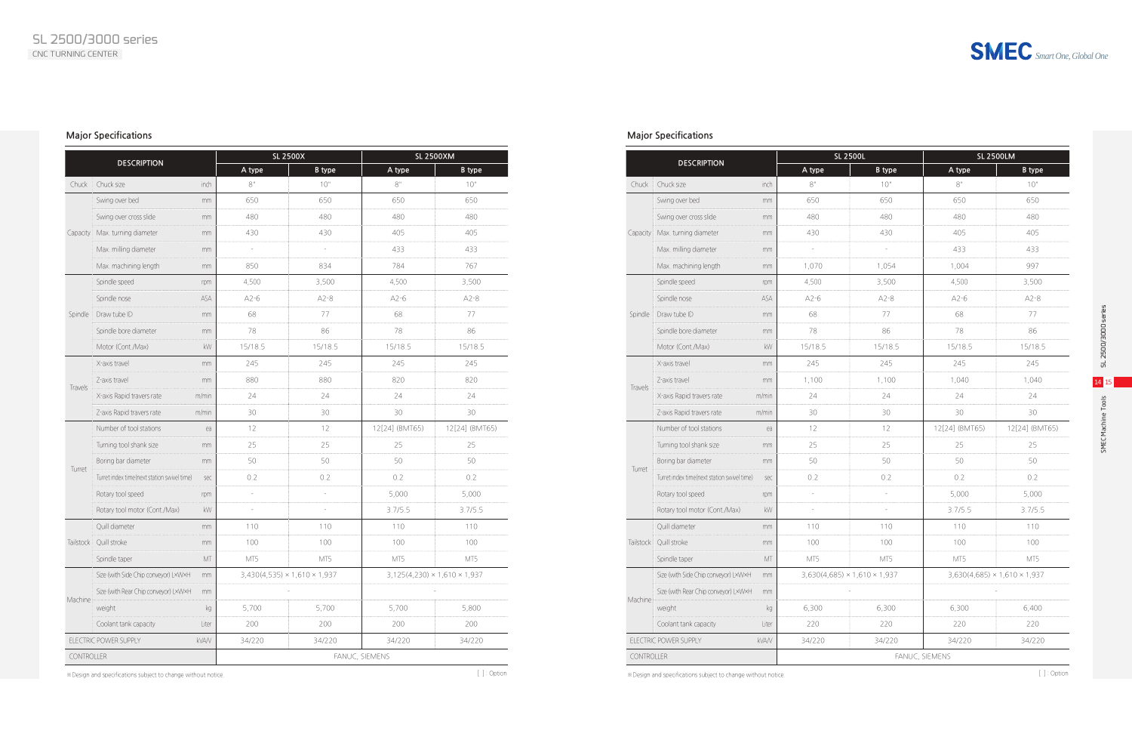*Smart One, Global One*

ပ္မ SMEC Machine Tools SL 2500/3000 series 2500/3000 ser ᆔ

 $14$ Tools SMEC Machine

#### **Major Specifications**

※Design and specifications subject to change without notice. ※Design and specifications subject to change without notice. [ ] : Option [ ] : Option

#### **Major Specifications**

| <b>DESCRIPTION</b>             |                                             |        | <b>SL 2500X</b> | <b>SL 2500XM</b>                         |                |                                          |  |  |
|--------------------------------|---------------------------------------------|--------|-----------------|------------------------------------------|----------------|------------------------------------------|--|--|
|                                |                                             | A type | <b>B</b> type   | A type                                   | <b>B</b> type  |                                          |  |  |
| Chuck                          | Chuck size                                  | inch   | $8"$            | 10"                                      | $8"$           | 10"                                      |  |  |
|                                | Swing over bed                              | mm     | 650             | 650                                      | 650            | 650                                      |  |  |
|                                | Swing over cross slide                      | mm     | 480             | 480                                      | 480            | 480                                      |  |  |
| Capacity                       | Max. turning diameter                       | mm     | 430             | 430                                      | 405            | 405                                      |  |  |
|                                | Max. milling diameter                       | mm     | L,              | ÷,                                       | 433            | 433                                      |  |  |
|                                | Max. machining length                       | mm     | 850             | 834                                      | 784            | 767                                      |  |  |
|                                | Spindle speed                               | rpm    | 4,500           | 3,500                                    | 4,500          | 3,500                                    |  |  |
|                                | Spindle nose                                | ASA    | $A2-6$          | $A2-8$                                   | $A2-6$         | $A2-8$                                   |  |  |
| Spindle                        | Draw tube ID                                | mm     | 68              | 77                                       | 68             | 77                                       |  |  |
|                                | Spindle bore diameter                       | mm     | 78              | 86                                       | 78             | 86                                       |  |  |
|                                | Motor (Cont./Max)                           | kW     | 15/18.5         | 15/18.5                                  | 15/18.5        | 15/18.5                                  |  |  |
|                                | X-axis travel                               | mm     | 245             | 245                                      | 245            | 245                                      |  |  |
|                                | Z-axis travel                               | mm     | 880             | 880                                      | 820            | 820                                      |  |  |
| Travels                        | X-axis Rapid travers rate                   | m/min  | 24              | 24                                       | 24             | 24                                       |  |  |
|                                | Z-axis Rapid travers rate                   | m/min  | 30              | 30                                       | 30             | 30                                       |  |  |
|                                | Number of tool stations                     | ea     | 12              | 12                                       | 12[24] (BMT65) | 12[24] (BMT65)                           |  |  |
|                                | Turning tool shank size                     | mm     | 25              | 25                                       | 25             | 25                                       |  |  |
|                                | Boring bar diameter                         | mm     | 50              | 50                                       | 50             | 50                                       |  |  |
| Turret                         | Turret index time(next station swivel time) | sec    | 0.2             | 0.2                                      | 0.2            | 0.2                                      |  |  |
|                                | Rotary tool speed                           | rpm    | $\overline{a}$  | L,                                       | 5,000          | 5,000                                    |  |  |
|                                | Rotary tool motor (Cont./Max)               | kW     | $\overline{a}$  |                                          | 3.7/5.5        | 3.7/5.5                                  |  |  |
|                                | Quill diameter                              | mm     | 110             | 110                                      | 110            | 110                                      |  |  |
| Tailstock                      | Quill stroke                                | mm     | 100             | 100                                      | 100            | 100                                      |  |  |
|                                | Spindle taper                               | MT     | MT5             | MT5                                      | MT5            | MT5                                      |  |  |
|                                | Size (with Side Chip conveyor) LxWxH        | mm     |                 | $3,430(4,535) \times 1,610 \times 1,937$ |                | $3,125(4,230) \times 1,610 \times 1,937$ |  |  |
|                                | Size (with Rear Chip conveyor) L×W×H        | mm     |                 |                                          |                |                                          |  |  |
| Machine                        | weight                                      | kg     | 5,700           | 5,700                                    | 5,700          | 5,800                                    |  |  |
|                                | Coolant tank capacity                       | Liter  | 200             | 200                                      | 200            | 200                                      |  |  |
| ELECTRIC POWER SUPPLY<br>kVA/V |                                             | 34/220 | 34/220          | 34/220                                   | 34/220         |                                          |  |  |
| CONTROLLER                     |                                             |        |                 |                                          | FANUC, SIEMENS |                                          |  |  |

|                                       |                                             |               | <b>SL 2500L</b> | <b>SL 2500LM</b>                         |                |                                          |
|---------------------------------------|---------------------------------------------|---------------|-----------------|------------------------------------------|----------------|------------------------------------------|
|                                       | <b>DESCRIPTION</b>                          |               | A type          | <b>B</b> type                            | A type         | <b>B</b> type                            |
| Chuck                                 | Chuck size                                  | inch          | $8"$            | 10"                                      | $8"$           | 10"                                      |
|                                       | Swing over bed                              | mm            | 650             | 650                                      | 650            | 650                                      |
|                                       | Swing over cross slide                      | mm            | 480             | 480                                      | 480            | 480                                      |
| Capacity                              | Max. turning diameter                       | mm            | 430             | 430                                      | 405            | 405                                      |
|                                       | Max. milling diameter                       | mm            | L,              | ÷,                                       | 433            | 433                                      |
|                                       | Max. machining length                       | mm            | 1,070           | 1,054                                    | 1,004          | 997                                      |
|                                       | Spindle speed                               | rpm           | 4,500           | 3,500                                    | 4,500          | 3,500                                    |
|                                       | Spindle nose                                | ASA           | $A2-6$          | $A2-8$                                   | $A2-6$         | $A2-8$                                   |
| Spindle                               | Draw tube ID                                | mm            | 68              | 77                                       | 68             | 77                                       |
|                                       | Spindle bore diameter                       | mm            | 78              | 86                                       | 78             | 86                                       |
|                                       | Motor (Cont./Max)                           | kW            | 15/18.5         | 15/18.5                                  | 15/18.5        | 15/18.5                                  |
| Travels                               | X-axis travel                               | mm            | 245             | 245                                      | 245            | 245                                      |
|                                       | Z-axis travel                               | mm            | 1,100           | 1,100                                    | 1,040          | 1,040                                    |
|                                       | X-axis Rapid travers rate                   | m/min         | 24              | 24                                       | 24             | 24                                       |
|                                       | Z-axis Rapid travers rate                   | m/min         | 30              | 30                                       | 30             | 30                                       |
|                                       | Number of tool stations                     | ea            | 12              | 12                                       | 12[24] (BMT65) | 12[24] (BMT65)                           |
|                                       | Turning tool shank size                     | mm            | 25              | 25                                       | 25             | 25                                       |
|                                       | Boring bar diameter                         | mm            | 50              | 50                                       | 50             | 50                                       |
| Turret                                | Turret index time(next station swivel time) | sec           | 0.2             | 0.2                                      | 0.2            | 0.2                                      |
|                                       | Rotary tool speed                           | rpm           |                 |                                          | 5,000          | 5,000                                    |
|                                       | Rotary tool motor (Cont./Max)               | kW            | $\overline{a}$  |                                          | 3.7/5.5        | 3.7/5.5                                  |
|                                       | Quill diameter                              | mm            | 110             | 110                                      | 110            | 110                                      |
| Tailstock                             | Quill stroke                                | mm            | 100             | 100                                      | 100            | 100                                      |
|                                       | Spindle taper                               | $\mathbb{MT}$ | MT5             | MT5                                      | MT5            | MT5                                      |
|                                       | Size (with Side Chip conveyor) LxWxH        | mm            |                 | $3,630(4,685) \times 1,610 \times 1,937$ |                | $3,630(4,685) \times 1,610 \times 1,937$ |
| Machine                               | Size (with Rear Chip conveyor) LxWxH        | mm            |                 |                                          |                |                                          |
|                                       | weight                                      | kg            | 6,300           | 6,300                                    | 6,300          | 6,400                                    |
|                                       | Coolant tank capacity                       | Liter         | 220             | 220                                      | 220            | 220                                      |
| ELECTRIC POWER SUPPLY<br><b>kVA/V</b> |                                             |               | 34/220          | 34/220                                   | 34/220         | 34/220                                   |
| <b>CONTROLLER</b>                     |                                             |               | FANUC, SIEMENS  |                                          |                |                                          |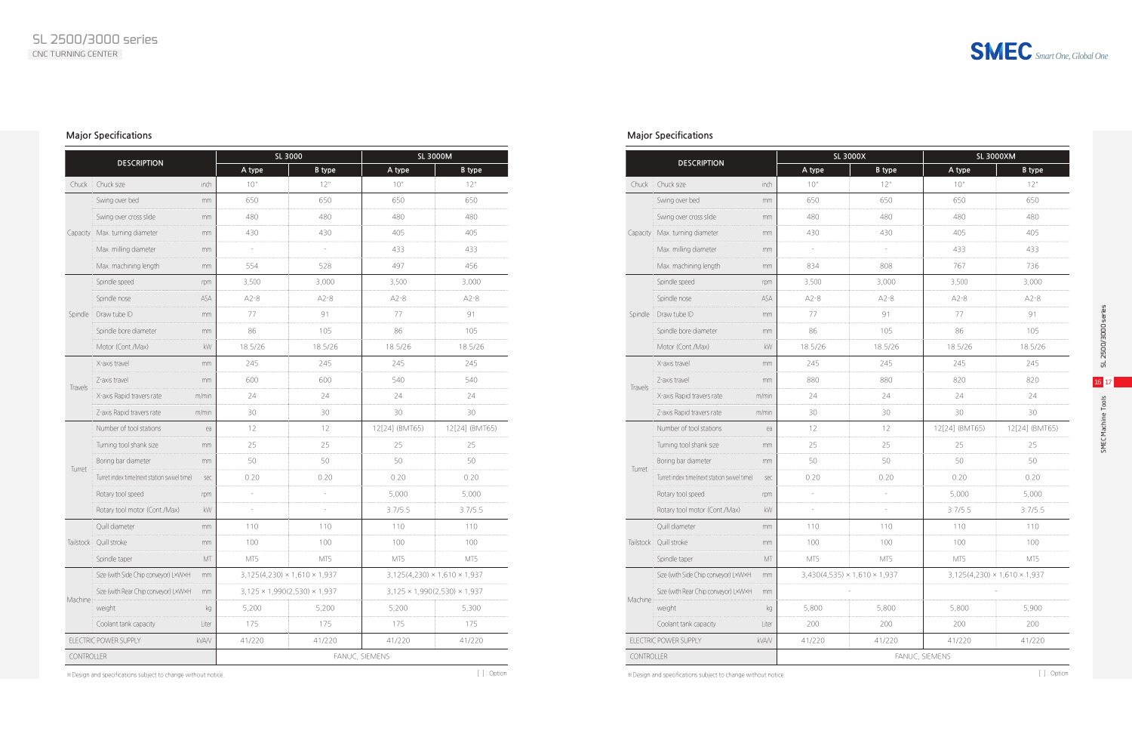*Smart One, Global One*

#### **Major Specifications**

#### **Major Specifications**

| <b>DESCRIPTION</b> |                                             |               | SL 3000        | <b>SL 3000M</b>                          |                                          |                                          |
|--------------------|---------------------------------------------|---------------|----------------|------------------------------------------|------------------------------------------|------------------------------------------|
|                    |                                             |               | A type         | <b>B</b> type                            | A type                                   | <b>B</b> type                            |
| Chuck              | Chuck size                                  | inch          | 10"            | 12"                                      | 10"                                      | 12"                                      |
|                    | Swing over bed                              | mm            | 650            | 650                                      | 650                                      | 650                                      |
|                    | Swing over cross slide                      | mm            | 480            | 480                                      | 480                                      | 480                                      |
| Capacity           | Max. turning diameter                       | mm            | 430            | 430                                      | 405                                      | 405                                      |
|                    | Max. milling diameter                       | mm            | $\overline{a}$ | ÷,                                       | 433                                      | 433                                      |
|                    | Max. machining length                       | mm            | 554            | 528                                      | 497                                      | 456                                      |
|                    | Spindle speed                               | rpm           | 3,500          | 3,000                                    | 3,500                                    | 3,000                                    |
|                    | Spindle nose                                | ASA           | $A2-8$         | $A2-8$                                   | $A2-8$                                   | $A2-8$                                   |
| Spindle            | Draw tube ID                                | mm            | 77             | 91                                       | 77                                       | 91                                       |
|                    | Spindle bore diameter                       | mm            | 86             | 105                                      | 86                                       | 105                                      |
|                    | Motor (Cont./Max)                           | kW            | 18.5/26        | 18.5/26                                  | 18.5/26                                  | 18.5/26                                  |
|                    | X-axis travel                               | mm            | 245            | 245                                      | 245                                      | 245                                      |
|                    | Z-axis travel                               | mm            | 600            | 600                                      | 540                                      | 540                                      |
| Travels            | X-axis Rapid travers rate                   | m/min         | 24             | 24                                       | 24                                       | 24                                       |
|                    | Z-axis Rapid travers rate                   | m/min         | 30             | 30                                       | 30                                       | 30                                       |
|                    | Number of tool stations                     | ea            | 12             | 12                                       | 12[24] (BMT65)                           | 12[24] (BMT65)                           |
|                    | Turning tool shank size                     | mm            | 25             | 25                                       | 25                                       | 25                                       |
|                    | Boring bar diameter                         | mm            | 50             | 50                                       | 50                                       | 50                                       |
| Turret             | Turret index time(next station swivel time) | sec           | 0.20           | 0.20                                     | 0.20                                     | 0.20                                     |
|                    | Rotary tool speed                           | rpm           | $\overline{a}$ | L                                        | 5,000                                    | 5,000                                    |
|                    | Rotary tool motor (Cont./Max)               | kW            | $\overline{a}$ |                                          | 3.7/5.5                                  | 3.7/5.5                                  |
|                    | Quill diameter                              | mm            | 110            | 110                                      | 110                                      | 110                                      |
| Tailstock          | Quill stroke                                | mm            | 100            | 100                                      | 100                                      | 100                                      |
|                    | Spindle taper                               | $\mathbb{MT}$ | MT5            | MT5                                      | MT5                                      | MT5                                      |
|                    | Size (with Side Chip conveyor) LxWxH        | mm            |                | $3,125(4,230) \times 1,610 \times 1,937$ |                                          | $3,125(4,230) \times 1,610 \times 1,937$ |
|                    | Size (with Rear Chip conveyor) L×W×H        | mm            |                | $3,125 \times 1,990(2,530) \times 1,937$ | $3,125 \times 1,990(2,530) \times 1,937$ |                                          |
| Machine            | weight                                      | kg            | 5,200          | 5,200                                    | 5,200                                    | 5,300                                    |
|                    | Coolant tank capacity                       | Liter         | 175            | 175                                      | 175                                      | 175                                      |
|                    | ELECTRIC POWER SUPPLY<br>kVA/V              |               | 41/220         | 41/220                                   | 41/220                                   | 41/220                                   |
| CONTROLLER         |                                             |               | FANUC, SIEMENS |                                          |                                          |                                          |

※Design and specifications subject to change without notice. ※Design and specifications subject to change without notice. [ ] : Option [ ] : Option

|                                |                                             |               | SL 3000X       | <b>SL 3000XM</b>                         |                |                                          |  |
|--------------------------------|---------------------------------------------|---------------|----------------|------------------------------------------|----------------|------------------------------------------|--|
|                                | <b>DESCRIPTION</b>                          |               | A type         | <b>B</b> type                            | A type         | <b>B</b> type                            |  |
| Chuck                          | Chuck size                                  | inch          | 10"            | 12"                                      | 10"            | 12"                                      |  |
|                                | Swing over bed                              | mm            | 650            | 650                                      | 650            | 650                                      |  |
|                                | Swing over cross slide                      | mm            | 480            | 480                                      | 480            | 480                                      |  |
| Capacity                       | Max. turning diameter                       | mm            | 430            | 430                                      | 405            | 405                                      |  |
|                                | Max. milling diameter                       | mm            | $\overline{a}$ | $\frac{1}{2}$                            | 433            | 433                                      |  |
|                                | Max. machining length                       | mm            | 834            | 808                                      | 767            | 736                                      |  |
|                                | Spindle speed                               | rpm           | 3,500          | 3,000                                    | 3,500          | 3,000                                    |  |
|                                | Spindle nose                                | ASA           | $A2-8$         | $A2-8$                                   | $A2-8$         | $A2-8$                                   |  |
| Spindle                        | Draw tube ID                                | mm            | 77             | 91                                       | 77             | 91                                       |  |
|                                | Spindle bore diameter                       | mm            | 86             | 105                                      | 86             | 105                                      |  |
|                                | Motor (Cont./Max)                           | kW            | 18.5/26        | 18.5/26                                  | 18.5/26        | 18.5/26                                  |  |
|                                | X-axis travel                               | mm            | 245            | 245                                      | 245            | 245                                      |  |
|                                | Z-axis travel                               | mm            | 880            | 880                                      | 820            | 820                                      |  |
| Travels                        | X-axis Rapid travers rate                   | m/min         | 24             | 24                                       | 24             | 24                                       |  |
|                                | Z-axis Rapid travers rate                   | m/min         | 30             | 30                                       | 30             | 30                                       |  |
|                                | Number of tool stations                     | ea            | 12             | 12                                       | 12[24] (BMT65) | 12[24] (BMT65)                           |  |
|                                | Turning tool shank size                     | mm            | 25             | 25                                       | 25             | 25                                       |  |
|                                | Boring bar diameter                         | mm            | 50             | 50                                       | 50             | 50                                       |  |
| Turret                         | Turret index time(next station swivel time) | sec           | 0.20           | 0.20                                     | 0.20           | 0.20                                     |  |
|                                | Rotary tool speed                           | rpm           | $\overline{a}$ | L,                                       | 5,000          | 5,000                                    |  |
|                                | Rotary tool motor (Cont./Max)               | kW            |                |                                          | 3.7/5.5        | 3.7/5.5                                  |  |
|                                | Quill diameter                              | mm            | 110            | 110                                      | 110            | 110                                      |  |
| Tailstock                      | Quill stroke                                | mm            | 100            | 100                                      | 100            | 100                                      |  |
|                                | Spindle taper                               | $\mathbb{MT}$ | MT5            | MT5                                      | MT5            | MT5                                      |  |
|                                | Size (with Side Chip conveyor) LxWxH        | mm            |                | $3,430(4,535) \times 1,610 \times 1,937$ |                | $3,125(4,230) \times 1,610 \times 1,937$ |  |
|                                | Size (with Rear Chip conveyor) LxWxH        | mm            |                |                                          |                |                                          |  |
| Machine                        | weight                                      | kg            | 5,800          | 5,800                                    | 5,800          | 5,900                                    |  |
|                                | Coolant tank capacity                       | Liter         | 200            | 200                                      | 200            | 200                                      |  |
| ELECTRIC POWER SUPPLY<br>kVA/V |                                             | 41/220        | 41/220         | 41/220                                   | 41/220         |                                          |  |
|                                | CONTROLLER                                  |               | FANUC, SIEMENS |                                          |                |                                          |  |
|                                |                                             |               |                |                                          |                |                                          |  |